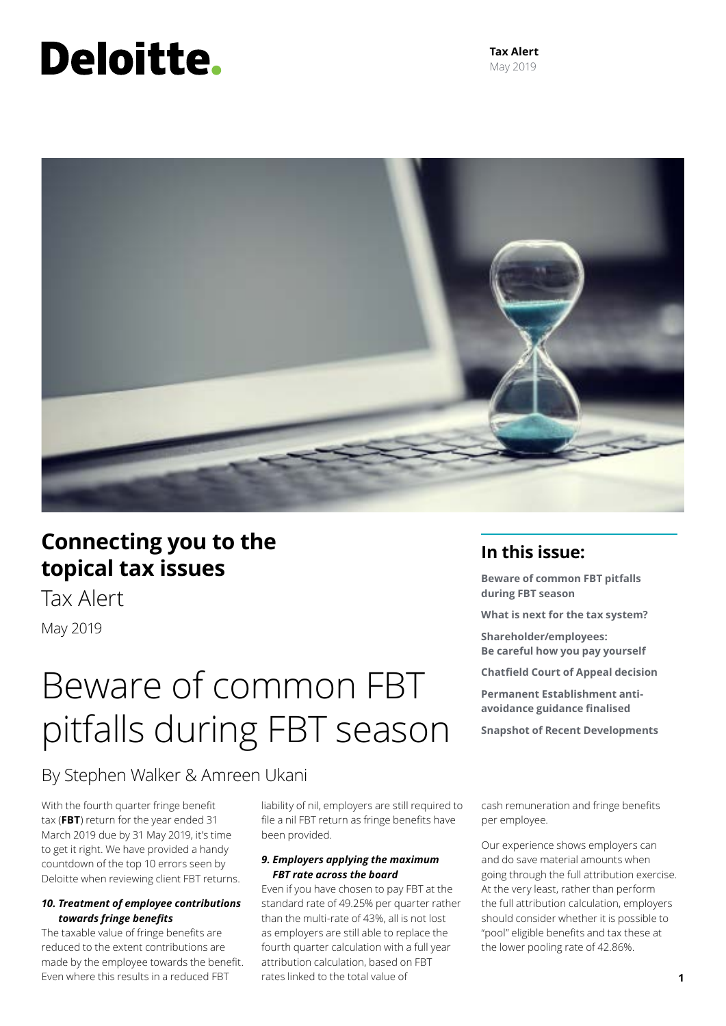# Deloitte.

**Tax Alert** May 2019



### **Connecting you to the topical tax issues**

Tax Alert May 2019

# Beware of common FBT pitfalls during FBT season

### **In this issue:**

**Beware of common FBT pitfalls during FBT season**

**What is next for the tax system?**

**Shareholder/employees: Be careful how you pay yourself**

**Chatfield Court of Appeal decision** 

**Permanent Establishment antiavoidance guidance finalised** 

**Snapshot of Recent Developments**

By Stephen Walker & Amreen Ukani

With the fourth quarter fringe benefit tax (**FBT**) return for the year ended 31 March 2019 due by 31 May 2019, it's time to get it right. We have provided a handy countdown of the top 10 errors seen by Deloitte when reviewing client FBT returns.

### *10. Treatment of employee contributions towards fringe benefits*

The taxable value of fringe benefits are reduced to the extent contributions are made by the employee towards the benefit. Even where this results in a reduced FBT

liability of nil, employers are still required to file a nil FBT return as fringe benefits have been provided.

### *9. Employers applying the maximum FBT rate across the board*

Even if you have chosen to pay FBT at the standard rate of 49.25% per quarter rather than the multi-rate of 43%, all is not lost as employers are still able to replace the fourth quarter calculation with a full year attribution calculation, based on FBT rates linked to the total value of

cash remuneration and fringe benefits per employee.

Our experience shows employers can and do save material amounts when going through the full attribution exercise. At the very least, rather than perform the full attribution calculation, employers should consider whether it is possible to "pool" eligible benefits and tax these at the lower pooling rate of 42.86%.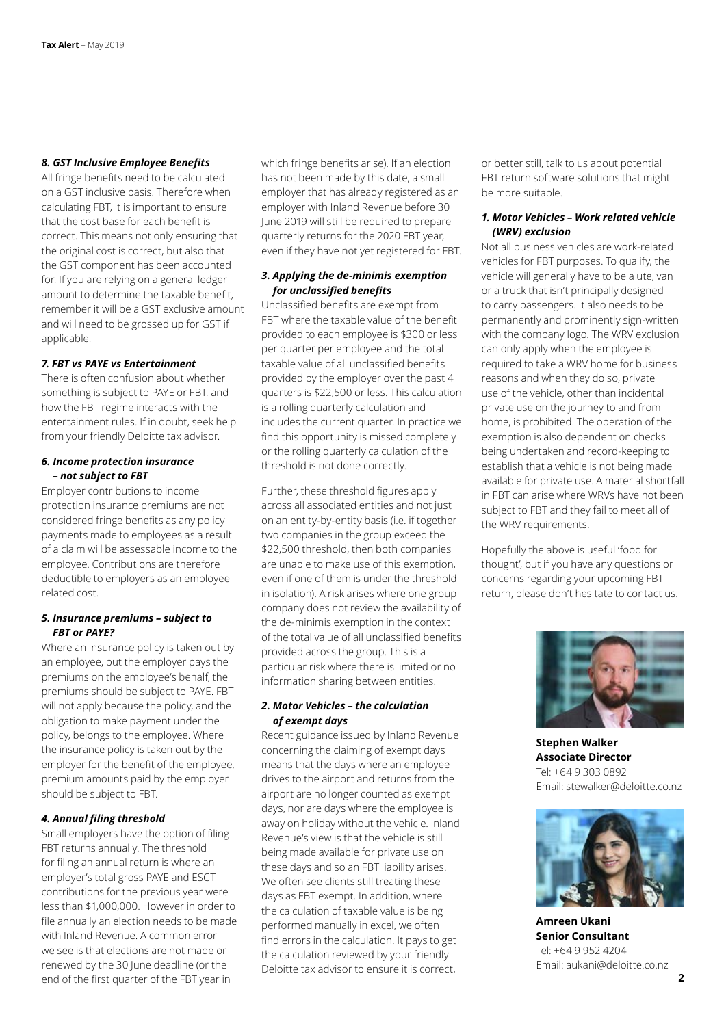#### *8. GST Inclusive Employee Benefits*

All fringe benefits need to be calculated on a GST inclusive basis. Therefore when calculating FBT, it is important to ensure that the cost base for each benefit is correct. This means not only ensuring that the original cost is correct, but also that the GST component has been accounted for. If you are relying on a general ledger amount to determine the taxable benefit, remember it will be a GST exclusive amount and will need to be grossed up for GST if applicable.

### *7. FBT vs PAYE vs Entertainment*

There is often confusion about whether something is subject to PAYE or FBT, and how the FBT regime interacts with the entertainment rules. If in doubt, seek help from your friendly Deloitte tax advisor.

### *6. Income protection insurance – not subject to FBT*

Employer contributions to income protection insurance premiums are not considered fringe benefits as any policy payments made to employees as a result of a claim will be assessable income to the employee. Contributions are therefore deductible to employers as an employee related cost.

### *5. Insurance premiums – subject to FBT or PAYE?*

Where an insurance policy is taken out by an employee, but the employer pays the premiums on the employee's behalf, the premiums should be subject to PAYE. FBT will not apply because the policy, and the obligation to make payment under the policy, belongs to the employee. Where the insurance policy is taken out by the employer for the benefit of the employee, premium amounts paid by the employer should be subject to FBT.

### *4. Annual filing threshold*

Small employers have the option of filing FBT returns annually. The threshold for filing an annual return is where an employer's total gross PAYE and ESCT contributions for the previous year were less than \$1,000,000. However in order to file annually an election needs to be made with Inland Revenue. A common error we see is that elections are not made or renewed by the 30 June deadline (or the end of the first quarter of the FBT year in

which fringe benefits arise). If an election has not been made by this date, a small employer that has already registered as an employer with Inland Revenue before 30 June 2019 will still be required to prepare quarterly returns for the 2020 FBT year, even if they have not yet registered for FBT.

### *3. Applying the de-minimis exemption for unclassified benefits*

Unclassified benefits are exempt from FBT where the taxable value of the benefit provided to each employee is \$300 or less per quarter per employee and the total taxable value of all unclassified benefits provided by the employer over the past 4 quarters is \$22,500 or less. This calculation is a rolling quarterly calculation and includes the current quarter. In practice we find this opportunity is missed completely or the rolling quarterly calculation of the threshold is not done correctly.

Further, these threshold figures apply across all associated entities and not just on an entity-by-entity basis (i.e. if together two companies in the group exceed the \$22,500 threshold, then both companies are unable to make use of this exemption, even if one of them is under the threshold in isolation). A risk arises where one group company does not review the availability of the de-minimis exemption in the context of the total value of all unclassified benefits provided across the group. This is a particular risk where there is limited or no information sharing between entities.

### *2. Motor Vehicles – the calculation of exempt days*

Recent guidance issued by Inland Revenue concerning the claiming of exempt days means that the days where an employee drives to the airport and returns from the airport are no longer counted as exempt days, nor are days where the employee is away on holiday without the vehicle. Inland Revenue's view is that the vehicle is still being made available for private use on these days and so an FBT liability arises. We often see clients still treating these days as FBT exempt. In addition, where the calculation of taxable value is being performed manually in excel, we often find errors in the calculation. It pays to get the calculation reviewed by your friendly Deloitte tax advisor to ensure it is correct,

or better still, talk to us about potential FBT return software solutions that might be more suitable.

### *1. Motor Vehicles – Work related vehicle (WRV) exclusion*

Not all business vehicles are work-related vehicles for FBT purposes. To qualify, the vehicle will generally have to be a ute, van or a truck that isn't principally designed to carry passengers. It also needs to be permanently and prominently sign-written with the company logo. The WRV exclusion can only apply when the employee is required to take a WRV home for business reasons and when they do so, private use of the vehicle, other than incidental private use on the journey to and from home, is prohibited. The operation of the exemption is also dependent on checks being undertaken and record-keeping to establish that a vehicle is not being made available for private use. A material shortfall in FBT can arise where WRVs have not been subject to FBT and they fail to meet all of the WRV requirements.

Hopefully the above is useful 'food for thought', but if you have any questions or concerns regarding your upcoming FBT return, please don't hesitate to contact us.



**Stephen Walker Associate Director**  Tel: +64 9 303 0892 Email: stewalker@deloitte.co.nz



**Amreen Ukani Senior Consultant** Tel: +64 9 952 4204 Email: aukani@deloitte.co.nz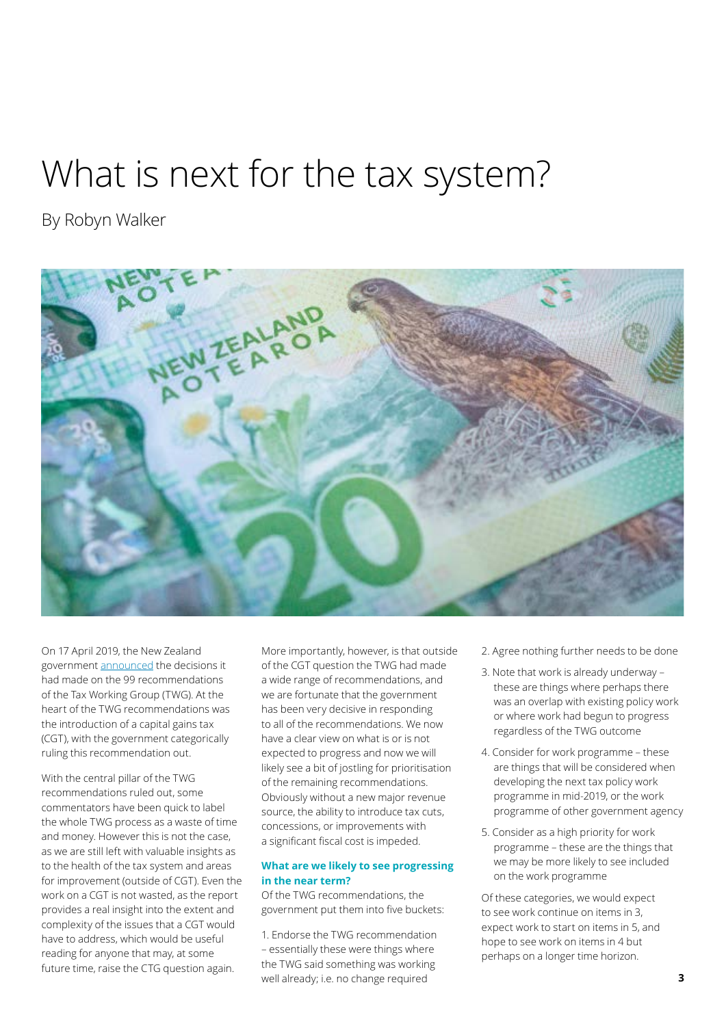### What is next for the tax system?

By Robyn Walker



On 17 April 2019, the New Zealand government [announced](http://taxpolicy.ird.govt.nz/news/2019-04-17-government-responds-twg-recommendations) the decisions it had made on the 99 recommendations of the Tax Working Group (TWG). At the heart of the TWG recommendations was the introduction of a capital gains tax (CGT), with the government categorically ruling this recommendation out.

With the central pillar of the TWG recommendations ruled out, some commentators have been quick to label the whole TWG process as a waste of time and money. However this is not the case, as we are still left with valuable insights as to the health of the tax system and areas for improvement (outside of CGT). Even the work on a CGT is not wasted, as the report provides a real insight into the extent and complexity of the issues that a CGT would have to address, which would be useful reading for anyone that may, at some future time, raise the CTG question again.

More importantly, however, is that outside of the CGT question the TWG had made a wide range of recommendations, and we are fortunate that the government has been very decisive in responding to all of the recommendations. We now have a clear view on what is or is not expected to progress and now we will likely see a bit of jostling for prioritisation of the remaining recommendations. Obviously without a new major revenue source, the ability to introduce tax cuts, concessions, or improvements with a significant fiscal cost is impeded.

### **What are we likely to see progressing in the near term?**

Of the TWG recommendations, the government put them into five buckets:

1. Endorse the TWG recommendation – essentially these were things where the TWG said something was working well already; i.e. no change required

- 2. Agree nothing further needs to be done
- 3. Note that work is already underway these are things where perhaps there was an overlap with existing policy work or where work had begun to progress regardless of the TWG outcome
- 4. Consider for work programme these are things that will be considered when developing the next tax policy work programme in mid-2019, or the work programme of other government agency
- 5. Consider as a high priority for work programme – these are the things that we may be more likely to see included on the work programme

Of these categories, we would expect to see work continue on items in 3, expect work to start on items in 5, and hope to see work on items in 4 but perhaps on a longer time horizon.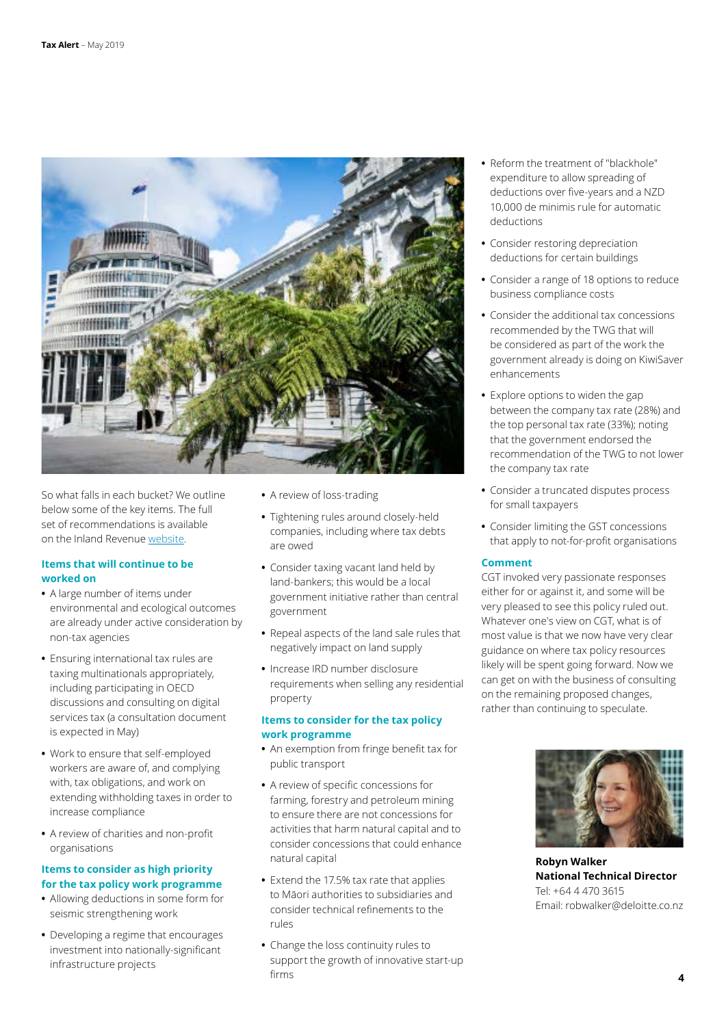

So what falls in each bucket? We outline below some of the key items. The full set of recommendations is available on the Inland Revenue [website.](http://taxpolicy.ird.govt.nz/sites/default/files/news/2019-04-17-news-twg-govt-response.pdf)

### **Items that will continue to be worked on**

- **•** A large number of items under environmental and ecological outcomes are already under active consideration by non-tax agencies
- **•** Ensuring international tax rules are taxing multinationals appropriately, including participating in OECD discussions and consulting on digital services tax (a consultation document is expected in May)
- **•** Work to ensure that self-employed workers are aware of, and complying with, tax obligations, and work on extending withholding taxes in order to increase compliance
- **•** A review of charities and non-profit organisations

### **Items to consider as high priority for the tax policy work programme**

- **•** Allowing deductions in some form for seismic strengthening work
- **•** Developing a regime that encourages investment into nationally-significant infrastructure projects
- **•** A review of loss-trading
- **•** Tightening rules around closely-held companies, including where tax debts are owed
- **•** Consider taxing vacant land held by land-bankers; this would be a local government initiative rather than central government
- **•** Repeal aspects of the land sale rules that negatively impact on land supply
- **•** Increase IRD number disclosure requirements when selling any residential property

### **Items to consider for the tax policy work programme**

- **•** An exemption from fringe benefit tax for public transport
- **•** A review of specific concessions for farming, forestry and petroleum mining to ensure there are not concessions for activities that harm natural capital and to consider concessions that could enhance natural capital
- **•** Extend the 17.5% tax rate that applies to Māori authorities to subsidiaries and consider technical refinements to the rules
- **•** Change the loss continuity rules to support the growth of innovative start-up firms
- **•** Reform the treatment of "blackhole" expenditure to allow spreading of deductions over five-years and a NZD 10,000 de minimis rule for automatic deductions
- **•** Consider restoring depreciation deductions for certain buildings
- **•** Consider a range of 18 options to reduce business compliance costs
- **•** Consider the additional tax concessions recommended by the TWG that will be considered as part of the work the government already is doing on KiwiSaver enhancements
- **•** Explore options to widen the gap between the company tax rate (28%) and the top personal tax rate (33%); noting that the government endorsed the recommendation of the TWG to not lower the company tax rate
- **•** Consider a truncated disputes process for small taxpayers
- **•** Consider limiting the GST concessions that apply to not-for-profit organisations

### **Comment**

CGT invoked very passionate responses either for or against it, and some will be very pleased to see this policy ruled out. Whatever one's view on CGT, what is of most value is that we now have very clear guidance on where tax policy resources likely will be spent going forward. Now we can get on with the business of consulting on the remaining proposed changes, rather than continuing to speculate.



**Robyn Walker National Technical Director** Tel: +64 4 470 3615 Email: robwalker@deloitte.co.nz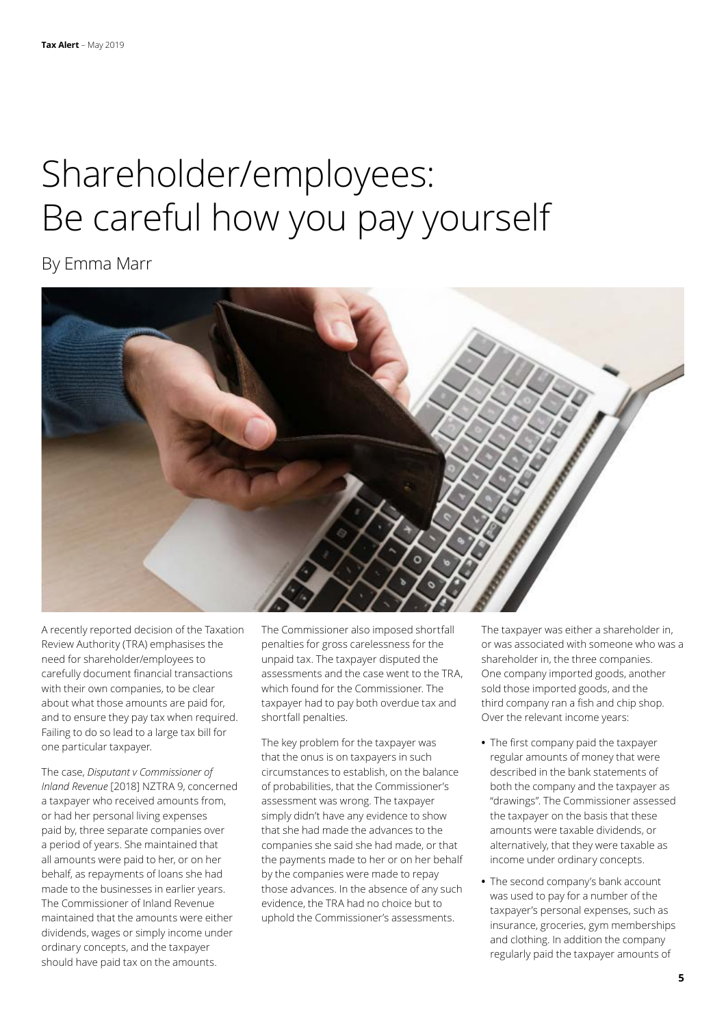# Shareholder/employees: Be careful how you pay yourself

### By Emma Marr



A recently reported decision of the Taxation Review Authority (TRA) emphasises the need for shareholder/employees to carefully document financial transactions with their own companies, to be clear about what those amounts are paid for, and to ensure they pay tax when required. Failing to do so lead to a large tax bill for one particular taxpayer.

The case, *Disputant v Commissioner of Inland Revenue* [2018] NZTRA 9, concerned a taxpayer who received amounts from, or had her personal living expenses paid by, three separate companies over a period of years. She maintained that all amounts were paid to her, or on her behalf, as repayments of loans she had made to the businesses in earlier years. The Commissioner of Inland Revenue maintained that the amounts were either dividends, wages or simply income under ordinary concepts, and the taxpayer should have paid tax on the amounts.

The Commissioner also imposed shortfall penalties for gross carelessness for the unpaid tax. The taxpayer disputed the assessments and the case went to the TRA, which found for the Commissioner. The taxpayer had to pay both overdue tax and shortfall penalties.

The key problem for the taxpayer was that the onus is on taxpayers in such circumstances to establish, on the balance of probabilities, that the Commissioner's assessment was wrong. The taxpayer simply didn't have any evidence to show that she had made the advances to the companies she said she had made, or that the payments made to her or on her behalf by the companies were made to repay those advances. In the absence of any such evidence, the TRA had no choice but to uphold the Commissioner's assessments.

The taxpayer was either a shareholder in, or was associated with someone who was a shareholder in, the three companies. One company imported goods, another sold those imported goods, and the third company ran a fish and chip shop. Over the relevant income years:

- **•** The first company paid the taxpayer regular amounts of money that were described in the bank statements of both the company and the taxpayer as "drawings". The Commissioner assessed the taxpayer on the basis that these amounts were taxable dividends, or alternatively, that they were taxable as income under ordinary concepts.
- **•** The second company's bank account was used to pay for a number of the taxpayer's personal expenses, such as insurance, groceries, gym memberships and clothing. In addition the company regularly paid the taxpayer amounts of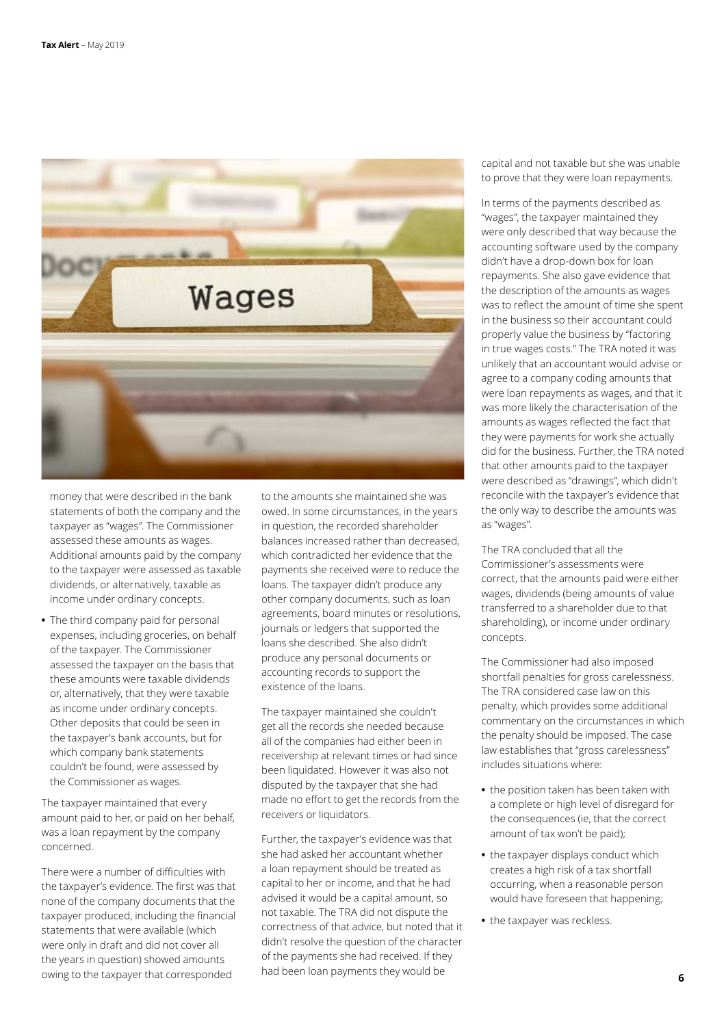

money that were described in the bank statements of both the company and the taxpayer as "wages". The Commissioner assessed these amounts as wages. Additional amounts paid by the company to the taxpayer were assessed as taxable dividends, or alternatively, taxable as income under ordinary concepts.

**•** The third company paid for personal expenses, including groceries, on behalf of the taxpayer. The Commissioner assessed the taxpayer on the basis that these amounts were taxable dividends or, alternatively, that they were taxable as income under ordinary concepts. Other deposits that could be seen in the taxpayer's bank accounts, but for which company bank statements couldn't be found, were assessed by the Commissioner as wages.

The taxpayer maintained that every amount paid to her, or paid on her behalf, was a loan repayment by the company concerned.

There were a number of difficulties with the taxpayer's evidence. The first was that none of the company documents that the taxpayer produced, including the financial statements that were available (which were only in draft and did not cover all the years in question) showed amounts owing to the taxpayer that corresponded

to the amounts she maintained she was owed. In some circumstances, in the years in question, the recorded shareholder balances increased rather than decreased, which contradicted her evidence that the payments she received were to reduce the loans. The taxpayer didn't produce any other company documents, such as loan agreements, board minutes or resolutions, journals or ledgers that supported the loans she described. She also didn't produce any personal documents or accounting records to support the existence of the loans.

The taxpayer maintained she couldn't get all the records she needed because all of the companies had either been in receivership at relevant times or had since been liquidated. However it was also not disputed by the taxpayer that she had made no effort to get the records from the receivers or liquidators.

Further, the taxpayer's evidence was that she had asked her accountant whether a loan repayment should be treated as capital to her or income, and that he had advised it would be a capital amount, so not taxable. The TRA did not dispute the correctness of that advice, but noted that it didn't resolve the question of the character of the payments she had received. If they had been loan payments they would be

capital and not taxable but she was unable to prove that they were loan repayments.

In terms of the payments described as "wages", the taxpayer maintained they were only described that way because the accounting software used by the company didn't have a drop-down box for loan repayments. She also gave evidence that the description of the amounts as wages was to reflect the amount of time she spent in the business so their accountant could properly value the business by "factoring in true wages costs." The TRA noted it was unlikely that an accountant would advise or agree to a company coding amounts that were loan repayments as wages, and that it was more likely the characterisation of the amounts as wages reflected the fact that they were payments for work she actually did for the business. Further, the TRA noted that other amounts paid to the taxpayer were described as "drawings", which didn't reconcile with the taxpayer's evidence that the only way to describe the amounts was as "wages".

The TRA concluded that all the Commissioner's assessments were correct, that the amounts paid were either wages, dividends (being amounts of value transferred to a shareholder due to that shareholding), or income under ordinary concepts.

The Commissioner had also imposed shortfall penalties for gross carelessness. The TRA considered case law on this penalty, which provides some additional commentary on the circumstances in which the penalty should be imposed. The case law establishes that "gross carelessness" includes situations where:

- **•** the position taken has been taken with a complete or high level of disregard for the consequences (ie, that the correct amount of tax won't be paid);
- **•** the taxpayer displays conduct which creates a high risk of a tax shortfall occurring, when a reasonable person would have foreseen that happening;
- **•** the taxpayer was reckless.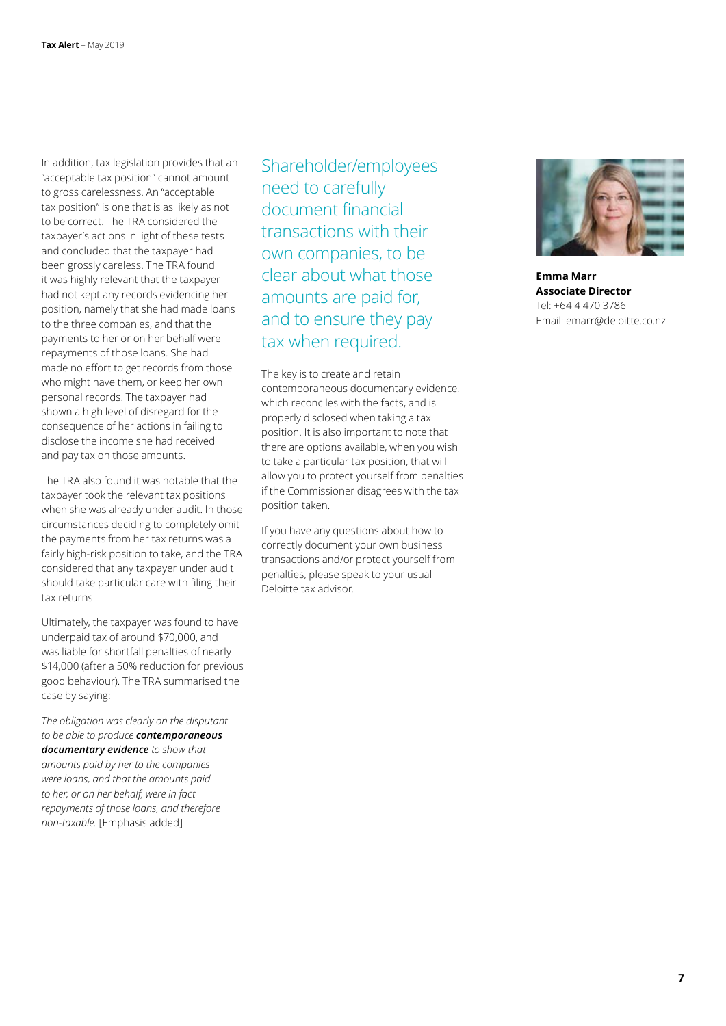In addition, tax legislation provides that an "acceptable tax position" cannot amount to gross carelessness. An "acceptable tax position" is one that is as likely as not to be correct. The TRA considered the taxpayer's actions in light of these tests and concluded that the taxpayer had been grossly careless. The TRA found it was highly relevant that the taxpayer had not kept any records evidencing her position, namely that she had made loans to the three companies, and that the payments to her or on her behalf were repayments of those loans. She had made no effort to get records from those who might have them, or keep her own personal records. The taxpayer had shown a high level of disregard for the consequence of her actions in failing to disclose the income she had received and pay tax on those amounts.

The TRA also found it was notable that the taxpayer took the relevant tax positions when she was already under audit. In those circumstances deciding to completely omit the payments from her tax returns was a fairly high-risk position to take, and the TRA considered that any taxpayer under audit should take particular care with filing their tax returns

Ultimately, the taxpayer was found to have underpaid tax of around \$70,000, and was liable for shortfall penalties of nearly \$14,000 (after a 50% reduction for previous good behaviour). The TRA summarised the case by saying:

*The obligation was clearly on the disputant to be able to produce contemporaneous documentary evidence to show that amounts paid by her to the companies were loans, and that the amounts paid to her, or on her behalf, were in fact repayments of those loans, and therefore non-taxable.* [Emphasis added]

Shareholder/employees need to carefully document financial transactions with their own companies, to be clear about what those amounts are paid for, and to ensure they pay tax when required.

The key is to create and retain contemporaneous documentary evidence, which reconciles with the facts, and is properly disclosed when taking a tax position. It is also important to note that there are options available, when you wish to take a particular tax position, that will allow you to protect yourself from penalties if the Commissioner disagrees with the tax position taken.

If you have any questions about how to correctly document your own business transactions and/or protect yourself from penalties, please speak to your usual Deloitte tax advisor.



**Emma Marr Associate Director** Tel: +64 4 470 3786 Email: emarr@deloitte.co.nz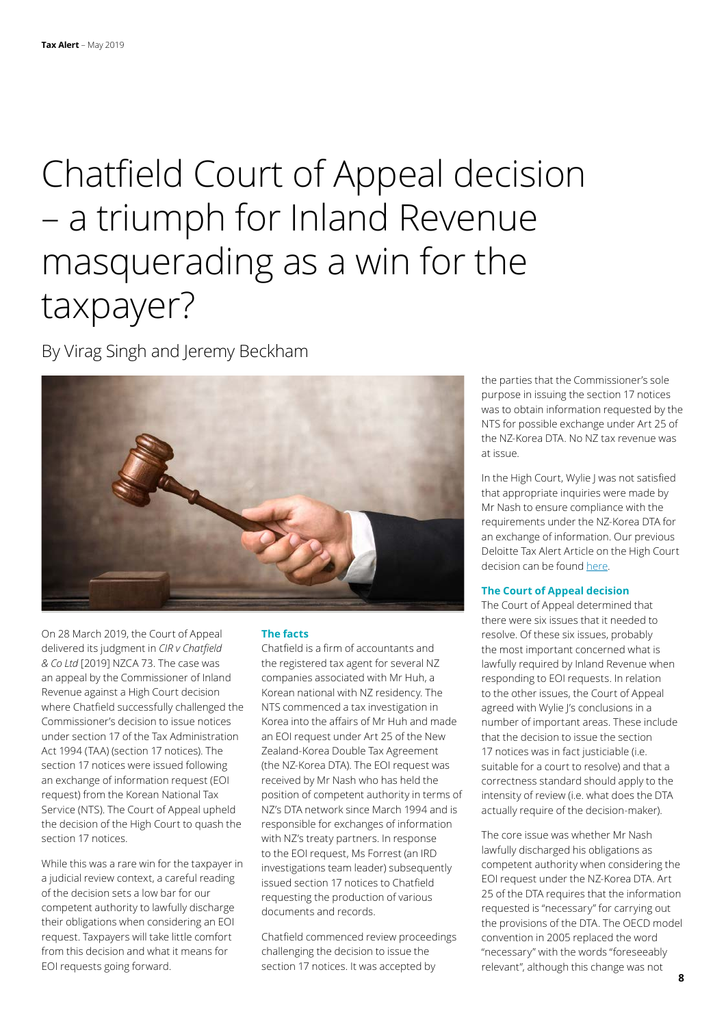## Chatfield Court of Appeal decision – a triumph for Inland Revenue masquerading as a win for the taxpayer?

By Virag Singh and Jeremy Beckham



On 28 March 2019, the Court of Appeal delivered its judgment in *CIR v Chatfield & Co Ltd* [2019] NZCA 73. The case was an appeal by the Commissioner of Inland Revenue against a High Court decision where Chatfield successfully challenged the Commissioner's decision to issue notices under section 17 of the Tax Administration Act 1994 (TAA) (section 17 notices). The section 17 notices were issued following an exchange of information request (EOI request) from the Korean National Tax Service (NTS). The Court of Appeal upheld the decision of the High Court to quash the section 17 notices.

While this was a rare win for the taxpayer in a judicial review context, a careful reading of the decision sets a low bar for our competent authority to lawfully discharge their obligations when considering an EOI request. Taxpayers will take little comfort from this decision and what it means for EOI requests going forward.

### **The facts**

Chatfield is a firm of accountants and the registered tax agent for several NZ companies associated with Mr Huh, a Korean national with NZ residency. The NTS commenced a tax investigation in Korea into the affairs of Mr Huh and made an EOI request under Art 25 of the New Zealand-Korea Double Tax Agreement (the NZ-Korea DTA). The EOI request was received by Mr Nash who has held the position of competent authority in terms of NZ's DTA network since March 1994 and is responsible for exchanges of information with NZ's treaty partners. In response to the EOI request, Ms Forrest (an IRD investigations team leader) subsequently issued section 17 notices to Chatfield requesting the production of various documents and records.

Chatfield commenced review proceedings challenging the decision to issue the section 17 notices. It was accepted by

the parties that the Commissioner's sole purpose in issuing the section 17 notices was to obtain information requested by the NTS for possible exchange under Art 25 of the NZ-Korea DTA. No NZ tax revenue was at issue.

In the High Court, Wylie J was not satisfied that appropriate inquiries were made by Mr Nash to ensure compliance with the requirements under the NZ-Korea DTA for an exchange of information. Our previous Deloitte Tax Alert Article on the High Court decision can be found [here.](https://www2.deloitte.com/nz/en/pages/tax-alerts/articles/high-court-not-satisfied-power-issue-section-17-lawfully-exercised.html)

### **The Court of Appeal decision**

The Court of Appeal determined that there were six issues that it needed to resolve. Of these six issues, probably the most important concerned what is lawfully required by Inland Revenue when responding to EOI requests. In relation to the other issues, the Court of Appeal agreed with Wylie J's conclusions in a number of important areas. These include that the decision to issue the section 17 notices was in fact justiciable (i.e. suitable for a court to resolve) and that a correctness standard should apply to the intensity of review (i.e. what does the DTA actually require of the decision-maker).

The core issue was whether Mr Nash lawfully discharged his obligations as competent authority when considering the EOI request under the NZ-Korea DTA. Art 25 of the DTA requires that the information requested is "necessary" for carrying out the provisions of the DTA. The OECD model convention in 2005 replaced the word "necessary" with the words "foreseeably relevant", although this change was not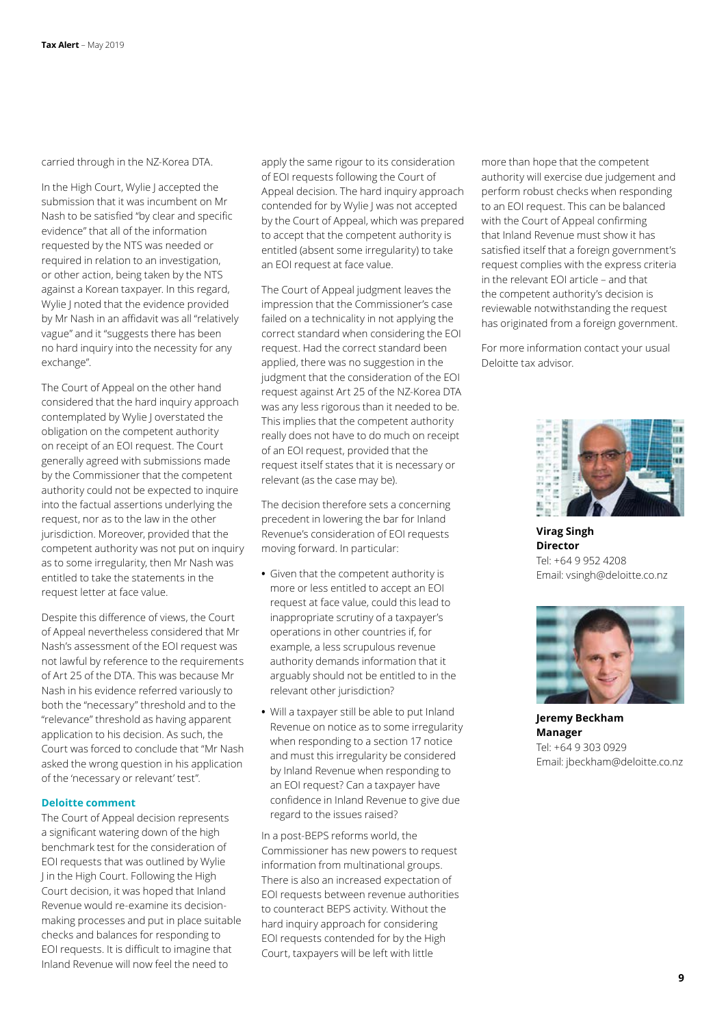carried through in the NZ-Korea DTA.

In the High Court, Wylie J accepted the submission that it was incumbent on Mr Nash to be satisfied "by clear and specific evidence" that all of the information requested by the NTS was needed or required in relation to an investigation, or other action, being taken by the NTS against a Korean taxpayer. In this regard, Wylie J noted that the evidence provided by Mr Nash in an affidavit was all "relatively vague" and it "suggests there has been no hard inquiry into the necessity for any exchange".

The Court of Appeal on the other hand considered that the hard inquiry approach contemplated by Wylie J overstated the obligation on the competent authority on receipt of an EOI request. The Court generally agreed with submissions made by the Commissioner that the competent authority could not be expected to inquire into the factual assertions underlying the request, nor as to the law in the other jurisdiction. Moreover, provided that the competent authority was not put on inquiry as to some irregularity, then Mr Nash was entitled to take the statements in the request letter at face value.

Despite this difference of views, the Court of Appeal nevertheless considered that Mr Nash's assessment of the EOI request was not lawful by reference to the requirements of Art 25 of the DTA. This was because Mr Nash in his evidence referred variously to both the "necessary" threshold and to the "relevance" threshold as having apparent application to his decision. As such, the Court was forced to conclude that "Mr Nash asked the wrong question in his application of the 'necessary or relevant' test".

#### **Deloitte comment**

The Court of Appeal decision represents a significant watering down of the high benchmark test for the consideration of EOI requests that was outlined by Wylie J in the High Court. Following the High Court decision, it was hoped that Inland Revenue would re-examine its decisionmaking processes and put in place suitable checks and balances for responding to EOI requests. It is difficult to imagine that Inland Revenue will now feel the need to

apply the same rigour to its consideration of EOI requests following the Court of Appeal decision. The hard inquiry approach contended for by Wylie J was not accepted by the Court of Appeal, which was prepared to accept that the competent authority is entitled (absent some irregularity) to take an EOI request at face value.

The Court of Appeal judgment leaves the impression that the Commissioner's case failed on a technicality in not applying the correct standard when considering the EOI request. Had the correct standard been applied, there was no suggestion in the judgment that the consideration of the EOI request against Art 25 of the NZ-Korea DTA was any less rigorous than it needed to be. This implies that the competent authority really does not have to do much on receipt of an EOI request, provided that the request itself states that it is necessary or relevant (as the case may be).

The decision therefore sets a concerning precedent in lowering the bar for Inland Revenue's consideration of EOI requests moving forward. In particular:

- **•** Given that the competent authority is more or less entitled to accept an EOI request at face value, could this lead to inappropriate scrutiny of a taxpayer's operations in other countries if, for example, a less scrupulous revenue authority demands information that it arguably should not be entitled to in the relevant other jurisdiction?
- **•** Will a taxpayer still be able to put Inland Revenue on notice as to some irregularity when responding to a section 17 notice and must this irregularity be considered by Inland Revenue when responding to an EOI request? Can a taxpayer have confidence in Inland Revenue to give due regard to the issues raised?

In a post-BEPS reforms world, the Commissioner has new powers to request information from multinational groups. There is also an increased expectation of EOI requests between revenue authorities to counteract BEPS activity. Without the hard inquiry approach for considering EOI requests contended for by the High Court, taxpayers will be left with little

more than hope that the competent authority will exercise due judgement and perform robust checks when responding to an EOI request. This can be balanced with the Court of Appeal confirming that Inland Revenue must show it has satisfied itself that a foreign government's request complies with the express criteria in the relevant EOI article – and that the competent authority's decision is reviewable notwithstanding the request has originated from a foreign government.

For more information contact your usual Deloitte tax advisor.



**Virag Singh Director** Tel: +64 9 952 4208 Email: vsingh@deloitte.co.nz



**Jeremy Beckham Manager** Tel: +64 9 303 0929 Email: jbeckham@deloitte.co.nz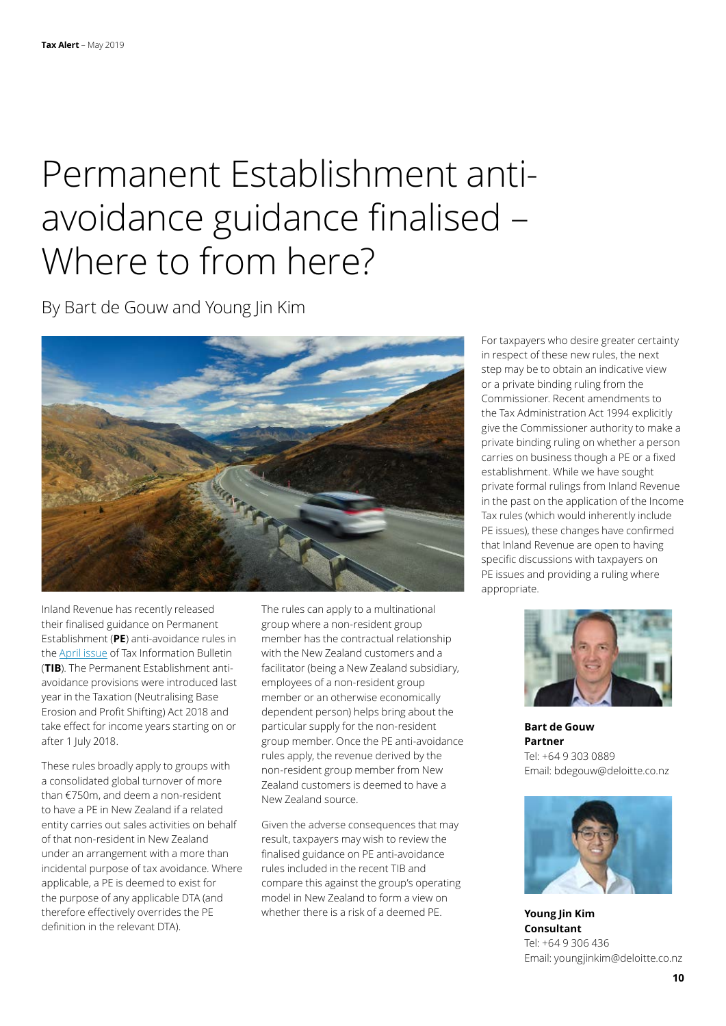## Permanent Establishment antiavoidance guidance finalised – Where to from here?

By Bart de Gouw and Young Jin Kim



Inland Revenue has recently released their finalised guidance on Permanent Establishment (**PE**) anti-avoidance rules in the [April issue](https://www.classic.ird.govt.nz/resources/0/b/0b4916ee-f061-4bec-9ef2-e59da31ed71c/tib-vol31-no3.pdf) of Tax Information Bulletin (**TIB**). The Permanent Establishment antiavoidance provisions were introduced last year in the Taxation (Neutralising Base Erosion and Profit Shifting) Act 2018 and take effect for income years starting on or after 1 Iuly 2018.

These rules broadly apply to groups with a consolidated global turnover of more than €750m, and deem a non-resident to have a PE in New Zealand if a related entity carries out sales activities on behalf of that non-resident in New Zealand under an arrangement with a more than incidental purpose of tax avoidance. Where applicable, a PE is deemed to exist for the purpose of any applicable DTA (and therefore effectively overrides the PE definition in the relevant DTA).

The rules can apply to a multinational group where a non-resident group member has the contractual relationship with the New Zealand customers and a facilitator (being a New Zealand subsidiary, employees of a non-resident group member or an otherwise economically dependent person) helps bring about the particular supply for the non-resident group member. Once the PE anti-avoidance rules apply, the revenue derived by the non-resident group member from New Zealand customers is deemed to have a New Zealand source.

Given the adverse consequences that may result, taxpayers may wish to review the finalised guidance on PE anti-avoidance rules included in the recent TIB and compare this against the group's operating model in New Zealand to form a view on whether there is a risk of a deemed PE.

For taxpayers who desire greater certainty in respect of these new rules, the next step may be to obtain an indicative view or a private binding ruling from the Commissioner. Recent amendments to the Tax Administration Act 1994 explicitly give the Commissioner authority to make a private binding ruling on whether a person carries on business though a PE or a fixed establishment. While we have sought private formal rulings from Inland Revenue in the past on the application of the Income Tax rules (which would inherently include PE issues), these changes have confirmed that Inland Revenue are open to having specific discussions with taxpayers on PE issues and providing a ruling where appropriate.



**Bart de Gouw Partner** Tel: +64 9 303 0889 Email: bdegouw@deloitte.co.nz



**Young Jin Kim Consultant** Tel: +64 9 306 436 Email: youngjinkim@deloitte.co.nz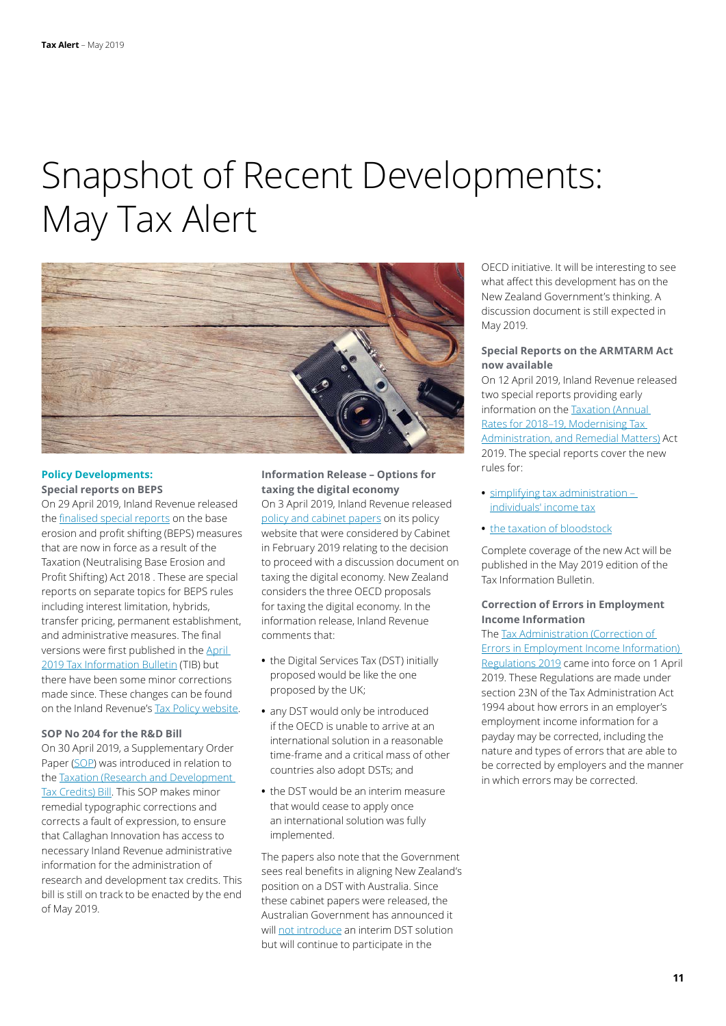### Snapshot of Recent Developments: May Tax Alert



#### **Policy Developments: Special reports on BEPS**

On 29 April 2019, Inland Revenue released the [finalised special reports](https://taxpolicy.ird.govt.nz/publications/2019-sr-beps-final/overview) on the base erosion and profit shifting (BEPS) measures that are now in force as a result of the Taxation (Neutralising Base Erosion and Profit Shifting) Act 2018 . These are special reports on separate topics for BEPS rules including interest limitation, hybrids, transfer pricing, permanent establishment, and administrative measures. The final versions were first published in the [April](https://www.classic.ird.govt.nz/resources/0/b/0b4916ee-f061-4bec-9ef2-e59da31ed71c/tib-vol31-no3.pdf)  [2019 Tax Information Bulletin](https://www.classic.ird.govt.nz/resources/0/b/0b4916ee-f061-4bec-9ef2-e59da31ed71c/tib-vol31-no3.pdf) (TIB) but there have been some minor corrections made since. These changes can be found on the Inland Revenue's [Tax Policy website](https://taxpolicy.ird.govt.nz/publications/2019-sr-beps-final/changes).

### **SOP No 204 for the R&D Bill**

On 30 April 2019, a Supplementary Order Paper ([SOP\)](http://legislation.govt.nz/sop/government/2019/0204/latest/whole.html#LMS190557) was introduced in relation to the [Taxation \(Research and Development](http://legislation.govt.nz/bill/government/2018/0108/latest/LMS110236.html?search=ts_act%40bill%40regulation%40deemedreg_Taxation+(Research+and+Development+Tax+Credits)+Bill+_resel_25_a&p=1)  [Tax Credits\) Bill](http://legislation.govt.nz/bill/government/2018/0108/latest/LMS110236.html?search=ts_act%40bill%40regulation%40deemedreg_Taxation+(Research+and+Development+Tax+Credits)+Bill+_resel_25_a&p=1). This SOP makes minor remedial typographic corrections and corrects a fault of expression, to ensure that Callaghan Innovation has access to necessary Inland Revenue administrative information for the administration of research and development tax credits. This bill is still on track to be enacted by the end of May 2019.

### **Information Release – Options for taxing the digital economy**

On 3 April 2019, Inland Revenue released [policy and cabinet papers](https://taxpolicy.ird.govt.nz/sites/default/files/2019-ir-cab-19-sub-0041.pdf) on its policy website that were considered by Cabinet in February 2019 relating to the decision to proceed with a discussion document on taxing the digital economy. New Zealand considers the three OECD proposals for taxing the digital economy. In the information release, Inland Revenue comments that:

- **•** the Digital Services Tax (DST) initially proposed would be like the one proposed by the UK;
- **•** any DST would only be introduced if the OECD is unable to arrive at an international solution in a reasonable time-frame and a critical mass of other countries also adopt DSTs; and
- **•** the DST would be an interim measure that would cease to apply once an international solution was fully implemented.

The papers also note that the Government sees real benefits in aligning New Zealand's position on a DST with Australia. Since these cabinet papers were released, the Australian Government has announced it will [not introduce](https://www.taxathand.com/article/11300/Australia/2019/Interim-digital-services-tax-will-not-be-introduced) an interim DST solution but will continue to participate in the

OECD initiative. It will be interesting to see what affect this development has on the New Zealand Government's thinking. A discussion document is still expected in May 2019.

### **Special Reports on the ARMTARM Act now available**

On 12 April 2019, Inland Revenue released two special reports providing early information on the [Taxation \(Annual](http://www.legislation.govt.nz/act/public/2019/0005/latest/LMS55115.html?search=ad_act%40bill%40regulation%40deemedreg_modernising_____25_ac%40bc%40rc%40dc%40apub%40aloc%40apri%40apro%40aimp%40bgov%40bloc%40bpri%40bmem%40rpub%40rimp_ac%40bc%40rc%40ainf%40anif%40aaif%40bcur%40rinf%40rnif_h_aw_se&p=1&sr=1)  [Rates for 2018–19, Modernising Tax](http://www.legislation.govt.nz/act/public/2019/0005/latest/LMS55115.html?search=ad_act%40bill%40regulation%40deemedreg_modernising_____25_ac%40bc%40rc%40dc%40apub%40aloc%40apri%40apro%40aimp%40bgov%40bloc%40bpri%40bmem%40rpub%40rimp_ac%40bc%40rc%40ainf%40anif%40aaif%40bcur%40rinf%40rnif_h_aw_se&p=1&sr=1)  [Administration, and Remedial Matters\)](http://www.legislation.govt.nz/act/public/2019/0005/latest/LMS55115.html?search=ad_act%40bill%40regulation%40deemedreg_modernising_____25_ac%40bc%40rc%40dc%40apub%40aloc%40apri%40apro%40aimp%40bgov%40bloc%40bpri%40bmem%40rpub%40rimp_ac%40bc%40rc%40ainf%40anif%40aaif%40bcur%40rinf%40rnif_h_aw_se&p=1&sr=1) Act 2019. The special reports cover the new rules for:

- **•** [simplifying tax administration](https://taxpolicy.ird.govt.nz/sites/default/files/2019-sr-individuals-v2.pdf)  [individuals' income tax](https://taxpolicy.ird.govt.nz/sites/default/files/2019-sr-individuals-v2.pdf)
- **•** [the taxation of bloodstock](https://taxpolicy.ird.govt.nz/sites/default/files/2018-sr-bloodstock.pdf)

Complete coverage of the new Act will be published in the May 2019 edition of the Tax Information Bulletin.

### **Correction of Errors in Employment Income Information**

The [Tax Administration \(Correction of](http://legislation.govt.nz/regulation/public/2019/0062/latest/LMS170521.html?search=ad_act%40bill%40regulation%40deemedreg_regulations__2019___25_ac%40bc%40rc%40dc%40apub%40aloc%40apri%40apro%40aimp%40bgov%40bloc%40bpri%40bmem%40rpub%40rimp_ac%40bc%40rc%40ainf%40anif%40bcur%40rinf%40rnif%40raif%40rasm%40rrev_h_aw_se&p=1&sr=1)  [Errors in Employment Income Information\)](http://legislation.govt.nz/regulation/public/2019/0062/latest/LMS170521.html?search=ad_act%40bill%40regulation%40deemedreg_regulations__2019___25_ac%40bc%40rc%40dc%40apub%40aloc%40apri%40apro%40aimp%40bgov%40bloc%40bpri%40bmem%40rpub%40rimp_ac%40bc%40rc%40ainf%40anif%40bcur%40rinf%40rnif%40raif%40rasm%40rrev_h_aw_se&p=1&sr=1)  [Regulations 2019](http://legislation.govt.nz/regulation/public/2019/0062/latest/LMS170521.html?search=ad_act%40bill%40regulation%40deemedreg_regulations__2019___25_ac%40bc%40rc%40dc%40apub%40aloc%40apri%40apro%40aimp%40bgov%40bloc%40bpri%40bmem%40rpub%40rimp_ac%40bc%40rc%40ainf%40anif%40bcur%40rinf%40rnif%40raif%40rasm%40rrev_h_aw_se&p=1&sr=1) came into force on 1 April 2019. These Regulations are made under section 23N of the Tax Administration Act 1994 about how errors in an employer's employment income information for a payday may be corrected, including the nature and types of errors that are able to be corrected by employers and the manner in which errors may be corrected.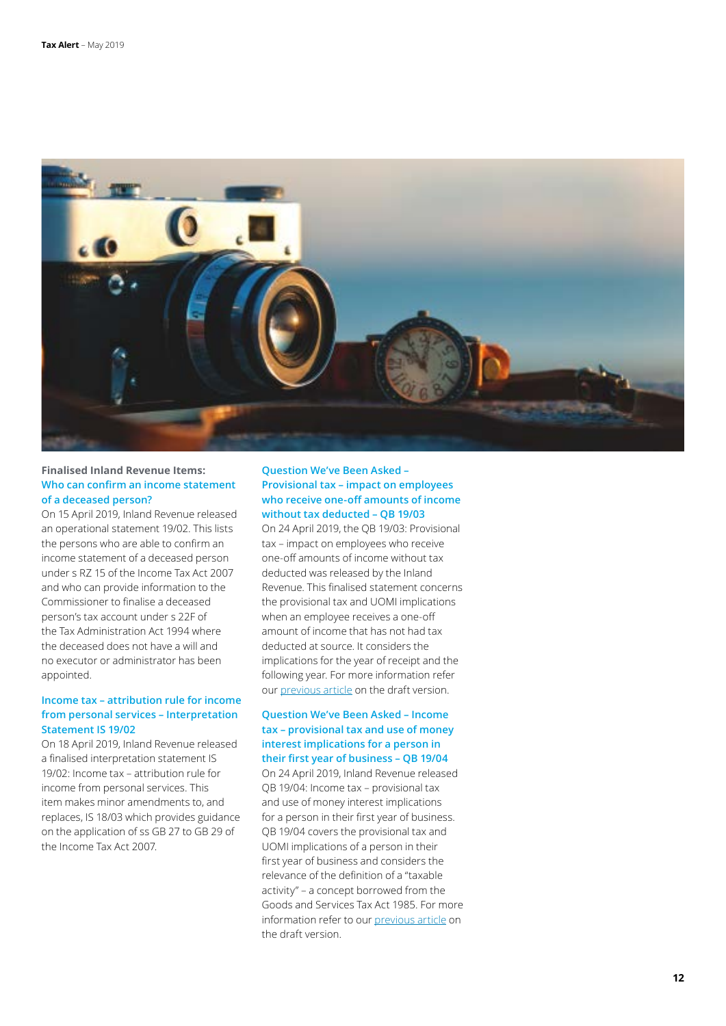

### **Finalised Inland Revenue Items: Who can confirm an income statement of a deceased person?**

On 15 April 2019, Inland Revenue released an operational statement 19/02. This lists the persons who are able to confirm an income statement of a deceased person under s RZ 15 of the Income Tax Act 2007 and who can provide information to the Commissioner to finalise a deceased person's tax account under s 22F of the Tax Administration Act 1994 where the deceased does not have a will and no executor or administrator has been appointed.

### **Income tax – attribution rule for income from personal services – Interpretation Statement IS 19/02**

On 18 April 2019, Inland Revenue released a finalised interpretation statement IS 19/02: Income tax – attribution rule for income from personal services. This item makes minor amendments to, and replaces, IS 18/03 which provides guidance on the application of ss GB 27 to GB 29 of the Income Tax Act 2007.

### **Question We've Been Asked – Provisional tax – impact on employees who receive one-off amounts of income without tax deducted – QB 19/03**

On 24 April 2019, the QB 19/03: Provisional tax – impact on employees who receive one-off amounts of income without tax deducted was released by the Inland Revenue. This finalised statement concerns the provisional tax and UOMI implications when an employee receives a one-off amount of income that has not had tax deducted at source. It considers the implications for the year of receipt and the following year. For more information refer our [previous article](https://www2.deloitte.com/nz/en/pages/tax-alerts/articles/guidance-tricky-provisional-tax-issues-released.html) on the draft version.

### **Question We've Been Asked – Income tax – provisional tax and use of money interest implications for a person in**

**their first year of business – QB 19/04** On 24 April 2019, Inland Revenue released QB 19/04: Income tax – provisional tax and use of money interest implications for a person in their first year of business. QB 19/04 covers the provisional tax and UOMI implications of a person in their first year of business and considers the relevance of the definition of a "taxable activity" – a concept borrowed from the Goods and Services Tax Act 1985. For more information refer to our [previous article](https://www2.deloitte.com/nz/en/pages/tax-alerts/articles/guidance-tricky-provisional-tax-issues-released.html) on the draft version.